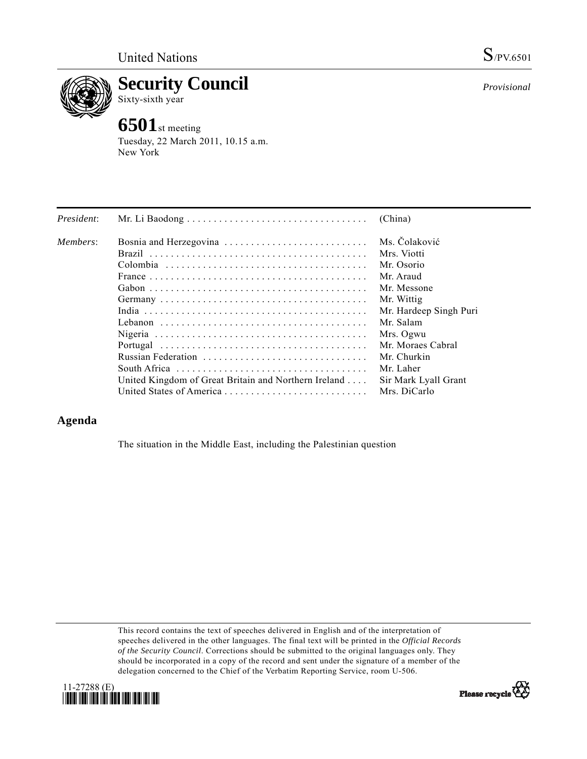

**Security Council**  Sixty-sixth year

## **6501**st meeting

Tuesday, 22 March 2011, 10.15 a.m. New York

| President: |                                                      | (China)                |
|------------|------------------------------------------------------|------------------------|
| Members:   |                                                      | Ms. Čolaković          |
|            |                                                      | Mrs. Viotti            |
|            |                                                      | Mr. Osorio             |
|            |                                                      | Mr. Araud              |
|            |                                                      | Mr. Messone            |
|            |                                                      | Mr. Wittig             |
|            |                                                      | Mr. Hardeep Singh Puri |
|            |                                                      | Mr. Salam              |
|            |                                                      | Mrs. Ogwu              |
|            |                                                      | Mr. Moraes Cabral      |
|            | Russian Federation                                   | Mr. Churkin            |
|            |                                                      | Mr. Laher              |
|            | United Kingdom of Great Britain and Northern Ireland | Sir Mark Lyall Grant   |
|            | United States of America                             | Mrs. DiCarlo           |

## **Agenda**

The situation in the Middle East, including the Palestinian question

This record contains the text of speeches delivered in English and of the interpretation of speeches delivered in the other languages. The final text will be printed in the *Official Records of the Security Council*. Corrections should be submitted to the original languages only. They should be incorporated in a copy of the record and sent under the signature of a member of the delegation concerned to the Chief of the Verbatim Reporting Service, room U-506.





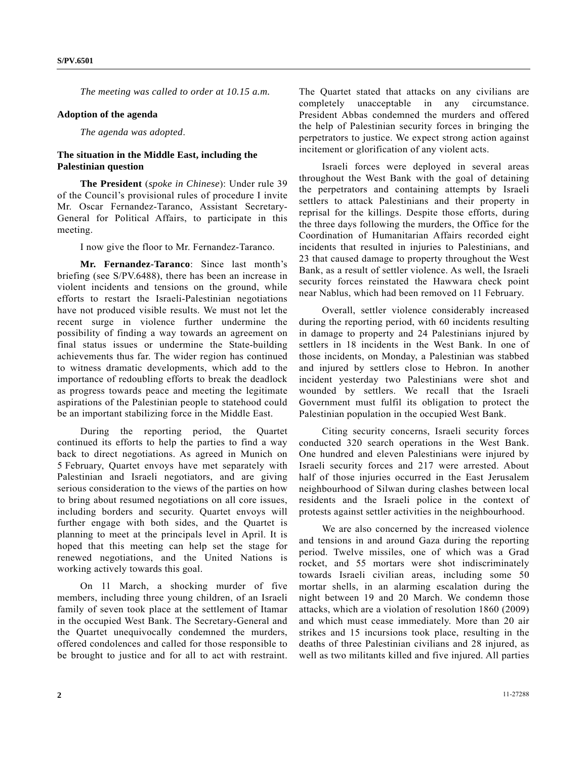*The meeting was called to order at 10.15 a.m.* 

## **Adoption of the agenda**

*The agenda was adopted*.

## **The situation in the Middle East, including the Palestinian question**

**The President** (*spoke in Chinese*): Under rule 39 of the Council's provisional rules of procedure I invite Mr. Oscar Fernandez-Taranco, Assistant Secretary-General for Political Affairs, to participate in this meeting.

I now give the floor to Mr. Fernandez-Taranco.

**Mr. Fernandez-Taranco**: Since last month's briefing (see S/PV.6488), there has been an increase in violent incidents and tensions on the ground, while efforts to restart the Israeli-Palestinian negotiations have not produced visible results. We must not let the recent surge in violence further undermine the possibility of finding a way towards an agreement on final status issues or undermine the State-building achievements thus far. The wider region has continued to witness dramatic developments, which add to the importance of redoubling efforts to break the deadlock as progress towards peace and meeting the legitimate aspirations of the Palestinian people to statehood could be an important stabilizing force in the Middle East.

 During the reporting period, the Quartet continued its efforts to help the parties to find a way back to direct negotiations. As agreed in Munich on 5 February, Quartet envoys have met separately with Palestinian and Israeli negotiators, and are giving serious consideration to the views of the parties on how to bring about resumed negotiations on all core issues, including borders and security. Quartet envoys will further engage with both sides, and the Quartet is planning to meet at the principals level in April. It is hoped that this meeting can help set the stage for renewed negotiations, and the United Nations is working actively towards this goal.

 On 11 March, a shocking murder of five members, including three young children, of an Israeli family of seven took place at the settlement of Itamar in the occupied West Bank. The Secretary-General and the Quartet unequivocally condemned the murders, offered condolences and called for those responsible to be brought to justice and for all to act with restraint. The Quartet stated that attacks on any civilians are completely unacceptable in any circumstance. President Abbas condemned the murders and offered the help of Palestinian security forces in bringing the perpetrators to justice. We expect strong action against incitement or glorification of any violent acts.

 Israeli forces were deployed in several areas throughout the West Bank with the goal of detaining the perpetrators and containing attempts by Israeli settlers to attack Palestinians and their property in reprisal for the killings. Despite those efforts, during the three days following the murders, the Office for the Coordination of Humanitarian Affairs recorded eight incidents that resulted in injuries to Palestinians, and 23 that caused damage to property throughout the West Bank, as a result of settler violence. As well, the Israeli security forces reinstated the Hawwara check point near Nablus, which had been removed on 11 February.

 Overall, settler violence considerably increased during the reporting period, with 60 incidents resulting in damage to property and 24 Palestinians injured by settlers in 18 incidents in the West Bank. In one of those incidents, on Monday, a Palestinian was stabbed and injured by settlers close to Hebron. In another incident yesterday two Palestinians were shot and wounded by settlers. We recall that the Israeli Government must fulfil its obligation to protect the Palestinian population in the occupied West Bank.

 Citing security concerns, Israeli security forces conducted 320 search operations in the West Bank. One hundred and eleven Palestinians were injured by Israeli security forces and 217 were arrested. About half of those injuries occurred in the East Jerusalem neighbourhood of Silwan during clashes between local residents and the Israeli police in the context of protests against settler activities in the neighbourhood.

 We are also concerned by the increased violence and tensions in and around Gaza during the reporting period. Twelve missiles, one of which was a Grad rocket, and 55 mortars were shot indiscriminately towards Israeli civilian areas, including some 50 mortar shells, in an alarming escalation during the night between 19 and 20 March. We condemn those attacks, which are a violation of resolution 1860 (2009) and which must cease immediately. More than 20 air strikes and 15 incursions took place, resulting in the deaths of three Palestinian civilians and 28 injured, as well as two militants killed and five injured. All parties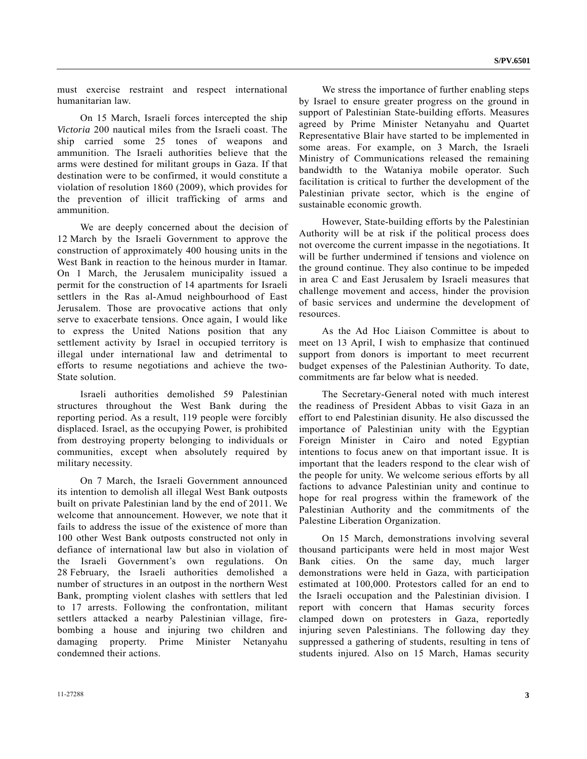must exercise restraint and respect international humanitarian law.

 On 15 March, Israeli forces intercepted the ship *Victoria* 200 nautical miles from the Israeli coast. The ship carried some 25 tones of weapons and ammunition. The Israeli authorities believe that the arms were destined for militant groups in Gaza. If that destination were to be confirmed, it would constitute a violation of resolution 1860 (2009), which provides for the prevention of illicit trafficking of arms and ammunition.

 We are deeply concerned about the decision of 12 March by the Israeli Government to approve the construction of approximately 400 housing units in the West Bank in reaction to the heinous murder in Itamar. On 1 March, the Jerusalem municipality issued a permit for the construction of 14 apartments for Israeli settlers in the Ras al-Amud neighbourhood of East Jerusalem. Those are provocative actions that only serve to exacerbate tensions. Once again, I would like to express the United Nations position that any settlement activity by Israel in occupied territory is illegal under international law and detrimental to efforts to resume negotiations and achieve the two-State solution.

 Israeli authorities demolished 59 Palestinian structures throughout the West Bank during the reporting period. As a result, 119 people were forcibly displaced. Israel, as the occupying Power, is prohibited from destroying property belonging to individuals or communities, except when absolutely required by military necessity.

 On 7 March, the Israeli Government announced its intention to demolish all illegal West Bank outposts built on private Palestinian land by the end of 2011. We welcome that announcement. However, we note that it fails to address the issue of the existence of more than 100 other West Bank outposts constructed not only in defiance of international law but also in violation of the Israeli Government's own regulations. On 28 February, the Israeli authorities demolished a number of structures in an outpost in the northern West Bank, prompting violent clashes with settlers that led to 17 arrests. Following the confrontation, militant settlers attacked a nearby Palestinian village, firebombing a house and injuring two children and damaging property. Prime Minister Netanyahu condemned their actions.

 We stress the importance of further enabling steps by Israel to ensure greater progress on the ground in support of Palestinian State-building efforts. Measures agreed by Prime Minister Netanyahu and Quartet Representative Blair have started to be implemented in some areas. For example, on 3 March, the Israeli Ministry of Communications released the remaining bandwidth to the Wataniya mobile operator. Such facilitation is critical to further the development of the Palestinian private sector, which is the engine of sustainable economic growth.

 However, State-building efforts by the Palestinian Authority will be at risk if the political process does not overcome the current impasse in the negotiations. It will be further undermined if tensions and violence on the ground continue. They also continue to be impeded in area C and East Jerusalem by Israeli measures that challenge movement and access, hinder the provision of basic services and undermine the development of resources.

 As the Ad Hoc Liaison Committee is about to meet on 13 April, I wish to emphasize that continued support from donors is important to meet recurrent budget expenses of the Palestinian Authority. To date, commitments are far below what is needed.

 The Secretary-General noted with much interest the readiness of President Abbas to visit Gaza in an effort to end Palestinian disunity. He also discussed the importance of Palestinian unity with the Egyptian Foreign Minister in Cairo and noted Egyptian intentions to focus anew on that important issue. It is important that the leaders respond to the clear wish of the people for unity. We welcome serious efforts by all factions to advance Palestinian unity and continue to hope for real progress within the framework of the Palestinian Authority and the commitments of the Palestine Liberation Organization.

 On 15 March, demonstrations involving several thousand participants were held in most major West Bank cities. On the same day, much larger demonstrations were held in Gaza, with participation estimated at 100,000. Protestors called for an end to the Israeli occupation and the Palestinian division. I report with concern that Hamas security forces clamped down on protesters in Gaza, reportedly injuring seven Palestinians. The following day they suppressed a gathering of students, resulting in tens of students injured. Also on 15 March, Hamas security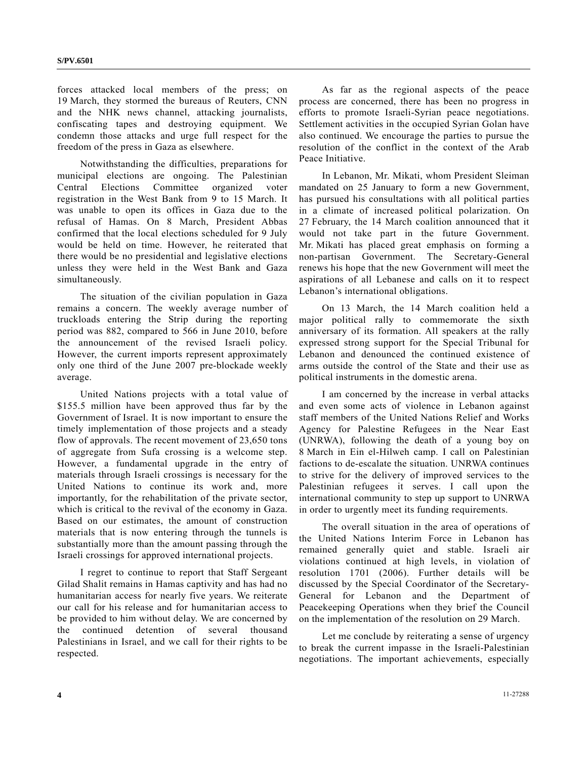forces attacked local members of the press; on 19 March, they stormed the bureaus of Reuters, CNN and the NHK news channel, attacking journalists, confiscating tapes and destroying equipment. We condemn those attacks and urge full respect for the freedom of the press in Gaza as elsewhere.

 Notwithstanding the difficulties, preparations for municipal elections are ongoing. The Palestinian Central Elections Committee organized voter registration in the West Bank from 9 to 15 March. It was unable to open its offices in Gaza due to the refusal of Hamas. On 8 March, President Abbas confirmed that the local elections scheduled for 9 July would be held on time. However, he reiterated that there would be no presidential and legislative elections unless they were held in the West Bank and Gaza simultaneously.

 The situation of the civilian population in Gaza remains a concern. The weekly average number of truckloads entering the Strip during the reporting period was 882, compared to 566 in June 2010, before the announcement of the revised Israeli policy. However, the current imports represent approximately only one third of the June 2007 pre-blockade weekly average.

 United Nations projects with a total value of \$155.5 million have been approved thus far by the Government of Israel. It is now important to ensure the timely implementation of those projects and a steady flow of approvals. The recent movement of 23,650 tons of aggregate from Sufa crossing is a welcome step. However, a fundamental upgrade in the entry of materials through Israeli crossings is necessary for the United Nations to continue its work and, more importantly, for the rehabilitation of the private sector, which is critical to the revival of the economy in Gaza. Based on our estimates, the amount of construction materials that is now entering through the tunnels is substantially more than the amount passing through the Israeli crossings for approved international projects.

 I regret to continue to report that Staff Sergeant Gilad Shalit remains in Hamas captivity and has had no humanitarian access for nearly five years. We reiterate our call for his release and for humanitarian access to be provided to him without delay. We are concerned by the continued detention of several thousand Palestinians in Israel, and we call for their rights to be respected.

 As far as the regional aspects of the peace process are concerned, there has been no progress in efforts to promote Israeli-Syrian peace negotiations. Settlement activities in the occupied Syrian Golan have also continued. We encourage the parties to pursue the resolution of the conflict in the context of the Arab Peace Initiative.

 In Lebanon, Mr. Mikati, whom President Sleiman mandated on 25 January to form a new Government, has pursued his consultations with all political parties in a climate of increased political polarization. On 27 February, the 14 March coalition announced that it would not take part in the future Government. Mr. Mikati has placed great emphasis on forming a non-partisan Government. The Secretary-General renews his hope that the new Government will meet the aspirations of all Lebanese and calls on it to respect Lebanon's international obligations.

 On 13 March, the 14 March coalition held a major political rally to commemorate the sixth anniversary of its formation. All speakers at the rally expressed strong support for the Special Tribunal for Lebanon and denounced the continued existence of arms outside the control of the State and their use as political instruments in the domestic arena.

 I am concerned by the increase in verbal attacks and even some acts of violence in Lebanon against staff members of the United Nations Relief and Works Agency for Palestine Refugees in the Near East (UNRWA), following the death of a young boy on 8 March in Ein el-Hilweh camp. I call on Palestinian factions to de-escalate the situation. UNRWA continues to strive for the delivery of improved services to the Palestinian refugees it serves. I call upon the international community to step up support to UNRWA in order to urgently meet its funding requirements.

 The overall situation in the area of operations of the United Nations Interim Force in Lebanon has remained generally quiet and stable. Israeli air violations continued at high levels, in violation of resolution 1701 (2006). Further details will be discussed by the Special Coordinator of the Secretary-General for Lebanon and the Department of Peacekeeping Operations when they brief the Council on the implementation of the resolution on 29 March.

 Let me conclude by reiterating a sense of urgency to break the current impasse in the Israeli-Palestinian negotiations. The important achievements, especially